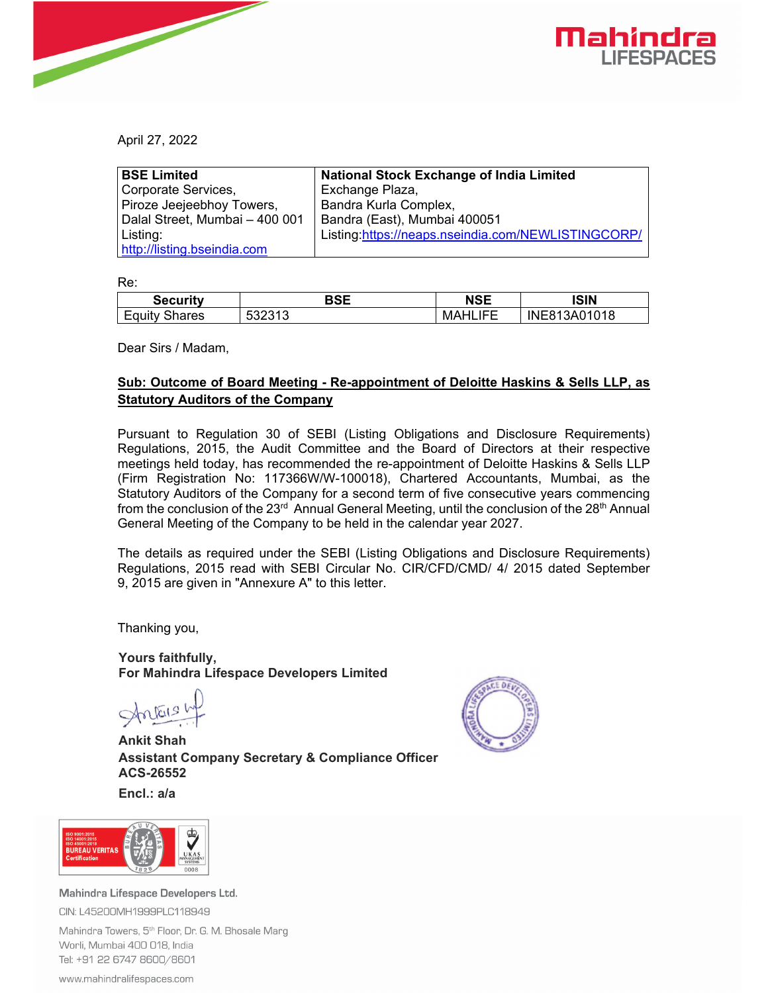



April 27, 2022

| <b>BSE Limited</b>             | <b>National Stock Exchange of India Limited</b>    |
|--------------------------------|----------------------------------------------------|
| Corporate Services,            | Exchange Plaza,                                    |
| Piroze Jeejeebhoy Towers,      | Bandra Kurla Complex,                              |
| Dalal Street, Mumbai - 400 001 | Bandra (East), Mumbai 400051                       |
| Listing:                       | Listing:https://neaps.nseindia.com/NEWLISTINGCORP/ |
| http://listing.bseindia.com    |                                                    |

Re:

| <b>Security</b> | BSE  | <b>NSE</b> | <b>ISIN</b>      |
|-----------------|------|------------|------------------|
| _               | ∽    | LIFE       | I3A01018         |
| Shares          | ບປ∠ບ | н          | INE <sub>8</sub> |
| Equity          | ⊥ບ   | МA         | `R 1             |

Dear Sirs / Madam,

## **Sub: Outcome of Board Meeting - Re-appointment of Deloitte Haskins & Sells LLP, as Statutory Auditors of the Company**

Pursuant to Regulation 30 of SEBI (Listing Obligations and Disclosure Requirements) Regulations, 2015, the Audit Committee and the Board of Directors at their respective meetings held today, has recommended the re-appointment of Deloitte Haskins & Sells LLP (Firm Registration No: 117366W/W-100018), Chartered Accountants, Mumbai, as the Statutory Auditors of the Company for a second term of five consecutive years commencing from the conclusion of the 23<sup>rd</sup> Annual General Meeting, until the conclusion of the 28<sup>th</sup> Annual General Meeting of the Company to be held in the calendar year 2027.

The details as required under the SEBI (Listing Obligations and Disclosure Requirements) Regulations, 2015 read with SEBI Circular No. CIR/CFD/CMD/ 4/ 2015 dated September 9, 2015 are given in "Annexure A" to this letter.

Thanking you,

**Yours faithfully, For Mahindra Lifespace Developers Limited** 

Status h

**Ankit Shah Assistant Company Secretary & Compliance Officer ACS-26552** 



**Encl.: a/a** 



Mahindra Lifespace Developers Ltd. CIN: L45200MH1999PLC118949

Mahindra Towers, 5<sup>th</sup> Floor, Dr. G. M. Bhosale Marg Worli, Mumbai 400 018, India Tel: +91 22 6747 8600/8601

www.mahindralifespaces.com